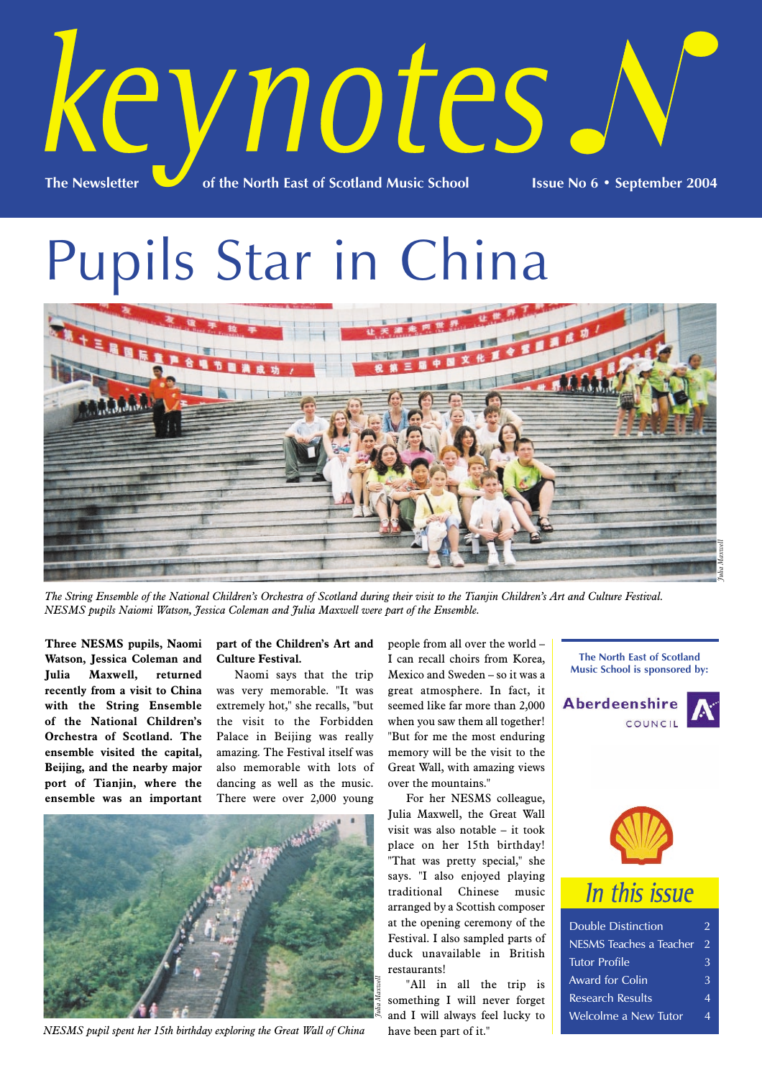

Pupils Star in China



*The String Ensemble of the National Children's Orchestra of Scotland during their visit to the Tianjin Children's Art and Culture Festival. NESMS pupils Naiomi Watson, Jessica Coleman and Julia Maxwell were part of the Ensemble.*

**Three NESMS pupils, Naomi Watson, Jessica Coleman and Julia Maxwell, returned recently from a visit to China with the String Ensemble of the National Children's Orchestra of Scotland. The ensemble visited the capital, Beijing, and the nearby major port of Tianjin, where the ensemble was an important**

### **part of the Children's Art and Culture Festival.**

Naomi says that the trip was very memorable. "It was extremely hot," she recalls, "but the visit to the Forbidden Palace in Beijing was really amazing. The Festival itself was also memorable with lots of dancing as well as the music. There were over 2,000 young



*NESMS pupil spent her 15th birthday exploring the Great Wall of China*

people from all over the world – I can recall choirs from Korea, Mexico and Sweden – so it was a great atmosphere. In fact, it seemed like far more than 2,000 when you saw them all together! "But for me the most enduring memory will be the visit to the Great Wall, with amazing views over the mountains."

For her NESMS colleague, Julia Maxwell, the Great Wall visit was also notable – it took place on her 15th birthday! "That was pretty special," she says. "I also enjoyed playing traditional Chinese music arranged by a Scottish composer at the opening ceremony of the Festival. I also sampled parts of duck unavailable in British restaurants!

"All in all the trip is something I will never forget and I will always feel lucky to have been part of it."

**The North East of Scotland Music School is sponsored by:**





## In this issue

| <b>Double Distinction</b> |  |
|---------------------------|--|
| NESMS Teaches a Teacher   |  |
| <b>Tutor Profile</b>      |  |
| Award for Colin           |  |
| <b>Research Results</b>   |  |
| Welcolme a New Tutor      |  |
|                           |  |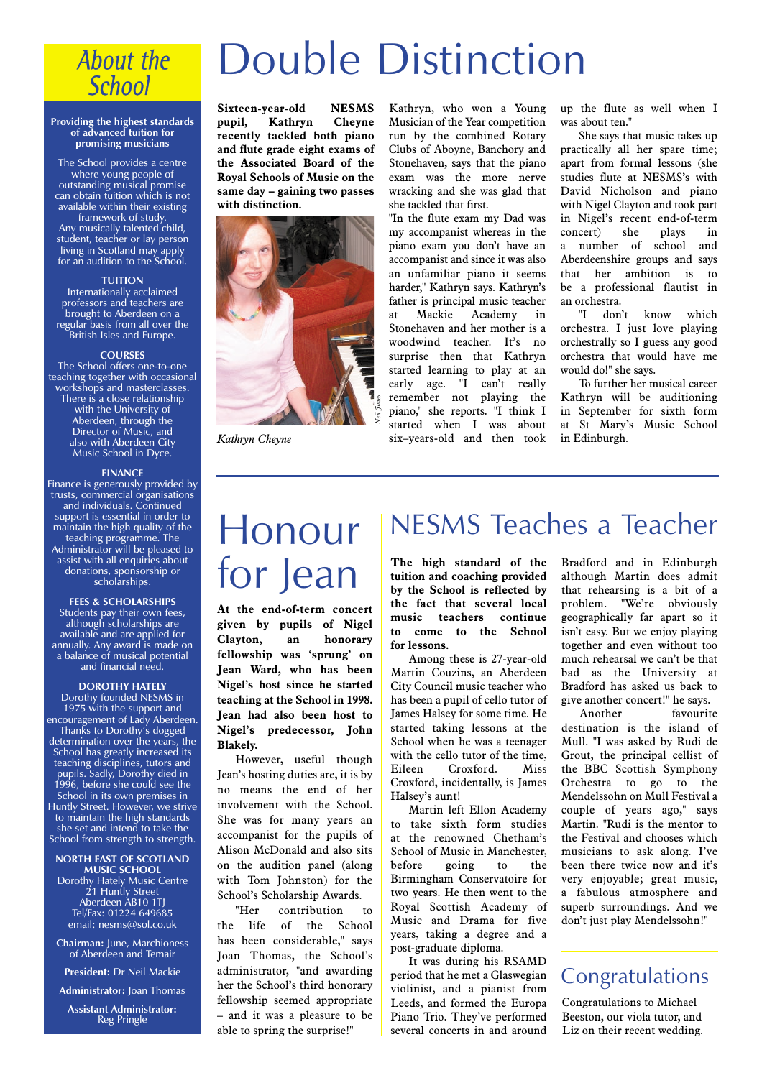## **About the School**

#### **Providing the highest standards of advanced tuition for promising musicians**

The School provides a centre where young people of outstanding musical promise can obtain tuition which is not available within their existing framework of study.

Any musically talented child, student, teacher or lay person living in Scotland may apply for an audition to the School.

### **TUITION**

Internationally acclaimed professors and teachers are brought to Aberdeen on a regular basis from all over the British Isles and Europe.

### **COURSES**

The School offers one-to-one teaching together with occasional workshops and masterclasses. There is a close relationship with the University of Aberdeen, through the Director of Music, and also with Aberdeen City Music School in Dyce.

#### **FINANCE**

Finance is generously provided by trusts, commercial organisations and individuals. Continued support is essential in order to maintain the high quality of the teaching programme. The Administrator will be pleased to assist with all enquiries about donations, sponsorship or scholarships.

### **FEES & SCHOLARSHIPS**

Students pay their own fees, although scholarships are available and are applied for annually. Any award is made on a balance of musical potential and financial need.

### **DOROTHY HATELY**

Dorothy founded NESMS in 1975 with the support and encouragement of Lady Aberdeen. Thanks to Dorothy's dogged determination over the years, the School has greatly increased its teaching disciplines, tutors and pupils. Sadly, Dorothy died in 1996, before she could see the School in its own premises in Huntly Street. However, we strive to maintain the high standards she set and intend to take the School from strength to strength.

### **NORTH EAST OF SCOTLAND MUSIC SCHOOL**

Dorothy Hately Music Centre 21 Huntly Street Aberdeen AB10 1TJ Tel/Fax: 01224 649685 email: nesms@sol.co.uk

**Chairman:** June, Marchioness of Aberdeen and Temair

**President:** Dr Neil Mackie

**Administrator:** Joan Thomas

**Assistant Administrator:** Reg Pringle

# Double Distinction

**Sixteen-year-old NESMS pupil, Kathryn Cheyne recently tackled both piano and flute grade eight exams of the Associated Board of the Royal Schools of Music on the same day – gaining two passes with distinction.**



*Kathryn Cheyne*

Kathryn, who won a Young Musician of the Year competition run by the combined Rotary Clubs of Aboyne, Banchory and Stonehaven, says that the piano exam was the more nerve wracking and she was glad that she tackled that first.

"In the flute exam my Dad was my accompanist whereas in the piano exam you don't have an accompanist and since it was also an unfamiliar piano it seems harder," Kathryn says. Kathryn's father is principal music teacher at Mackie Academy in Stonehaven and her mother is a woodwind teacher. It's no surprise then that Kathryn started learning to play at an early age. "I can't really remember not playing the piano," she reports. "I think I started when I was about six–years-old and then took up the flute as well when I was about ten."

She says that music takes up practically all her spare time; apart from formal lessons (she studies flute at NESMS's with David Nicholson and piano with Nigel Clayton and took part in Nigel's recent end-of-term<br>concert) she plays in concert) she plays in a number of school and Aberdeenshire groups and says that her ambition is to be a professional flautist in an orchestra.

"I don't know which orchestra. I just love playing orchestrally so I guess any good orchestra that would have me would do!" she says.

To further her musical career Kathryn will be auditioning in September for sixth form at St Mary's Music School in Edinburgh.

# Honour for Jean

**At the end-of-term concert given by pupils of Nigel Clayton, an honorary fellowship was 'sprung' on Jean Ward, who has been Nigel's host since he started teaching at the School in 1998. Jean had also been host to Nigel's predecessor, John Blakely.**

However, useful though Jean's hosting duties are, it is by no means the end of her involvement with the School. She was for many years an accompanist for the pupils of Alison McDonald and also sits on the audition panel (along with Tom Johnston) for the School's Scholarship Awards.

"Her contribution to the life of the School has been considerable," says Joan Thomas, the School's administrator, "and awarding her the School's third honorary fellowship seemed appropriate – and it was a pleasure to be able to spring the surprise!"

## NESMS Teaches a Teacher

**The high standard of the tuition and coaching provided by the School is reflected by the fact that several local music teachers continue to come to the School for lessons.**

Among these is 27-year-old Martin Couzins, an Aberdeen City Council music teacher who has been a pupil of cello tutor of James Halsey for some time. He started taking lessons at the School when he was a teenager with the cello tutor of the time. Eileen Croxford. Miss Croxford, incidentally, is James Halsey's aunt!

Martin left Ellon Academy to take sixth form studies at the renowned Chetham's School of Music in Manchester, before going to the Birmingham Conservatoire for two years. He then went to the Royal Scottish Academy of Music and Drama for five years, taking a degree and a post-graduate diploma.

It was during his RSAMD period that he met a Glaswegian violinist, and a pianist from Leeds, and formed the Europa Piano Trio. They've performed several concerts in and around

Bradford and in Edinburgh although Martin does admit that rehearsing is a bit of a problem. "We're obviously geographically far apart so it isn't easy. But we enjoy playing together and even without too much rehearsal we can't be that bad as the University at Bradford has asked us back to give another concert!" he says.

Another favourite destination is the island of Mull. "I was asked by Rudi de Grout, the principal cellist of the BBC Scottish Symphony Orchestra to go to the Mendelssohn on Mull Festival a couple of years ago," says Martin. "Rudi is the mentor to the Festival and chooses which musicians to ask along. I've been there twice now and it's very enjoyable; great music, a fabulous atmosphere and superb surroundings. And we don't just play Mendelssohn!"

### **Congratulations**

Congratulations to Michael Beeston, our viola tutor, and Liz on their recent wedding.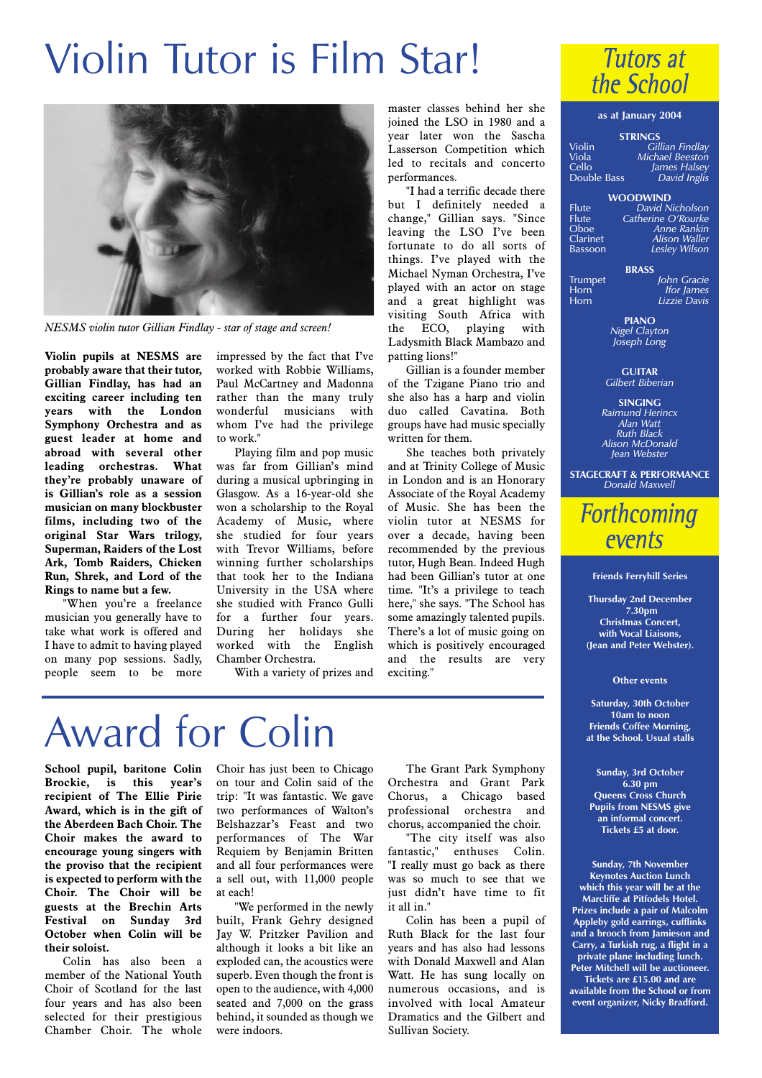# Violin Tutor is Film Star!



*NESMS violin tutor Gillian Findlay - star of stage and screen!*

**Violin pupils at NESMS are probably aware that their tutor, Gillian Findlay, has had an exciting career including ten years with the London Symphony Orchestra and as guest leader at home and abroad with several other leading orchestras. What they're probably unaware of is Gillian's role as a session musician on many blockbuster films, including two of the original Star Wars trilogy, Superman, Raiders of the Lost Ark, Tomb Raiders, Chicken Run, Shrek, and Lord of the Rings to name but a few.** 

"When you're a freelance musician you generally have to take what work is offered and I have to admit to having played on many pop sessions. Sadly, people seem to be more

impressed by the fact that I've worked with Robbie Williams, Paul McCartney and Madonna rather than the many truly wonderful musicians with whom I've had the privilege to work."

Playing film and pop music was far from Gillian's mind during a musical upbringing in Glasgow. As a 16-year-old she won a scholarship to the Royal Academy of Music, where she studied for four years with Trevor Williams, before winning further scholarships that took her to the Indiana University in the USA where she studied with Franco Gulli for a further four years. During her holidays she worked with the English Chamber Orchestra.

With a variety of prizes and

master classes behind her she joined the LSO in 1980 and a year later won the Sascha Lasserson Competition which led to recitals and concerto performances.

"I had a terrific decade there but I definitely needed a change," Gillian says. "Since leaving the LSO I've been fortunate to do all sorts of things. I've played with the Michael Nyman Orchestra, I've played with an actor on stage and a great highlight was visiting South Africa with the ECO, playing with Ladysmith Black Mambazo and patting lions!"

Gillian is a founder member of the Tzigane Piano trio and she also has a harp and violin duo called Cavatina. Both groups have had music specially written for them.

She teaches both privately and at Trinity College of Music in London and is an Honorary Associate of the Royal Academy of Music. She has been the violin tutor at NESMS for over a decade, having been recommended by the previous tutor, Hugh Bean. Indeed Hugh had been Gillian's tutor at one time. "It's a privilege to teach here," she says. "The School has some amazingly talented pupils. There's a lot of music going on which is positively encouraged and the results are very exciting."

# Award for Colin

**School pupil, baritone Colin Brockie, is this recipient of The Ellie Pirie Award, which is in the gift of the Aberdeen Bach Choir. The Choir makes the award to encourage young singers with the proviso that the recipient is expected to perform with the Choir. The Choir will be guests at the Brechin Arts Festival on Sunday 3rd October when Colin will be their soloist.**

Colin has also been a member of the National Youth Choir of Scotland for the last four years and has also been selected for their prestigious Chamber Choir. The whole Choir has just been to Chicago on tour and Colin said of the trip: "It was fantastic. We gave two performances of Walton's Belshazzar's Feast and two performances of The War Requiem by Benjamin Britten and all four performances were a sell out, with 11,000 people at each!

"We performed in the newly built, Frank Gehry designed Jay W. Pritzker Pavilion and although it looks a bit like an exploded can, the acoustics were superb. Even though the front is open to the audience, with 4,000 seated and 7,000 on the grass behind, it sounded as though we were indoors.

The Grant Park Symphony Orchestra and Grant Park Chorus, a Chicago based professional orchestra and chorus, accompanied the choir.

"The city itself was also fantastic," enthuses Colin. "I really must go back as there was so much to see that we just didn't have time to fit it all in."

Colin has been a pupil of Ruth Black for the last four years and has also had lessons with Donald Maxwell and Alan Watt. He has sung locally on numerous occasions, and is involved with local Amateur Dramatics and the Gilbert and Sullivan Society.



### **as at January 2004**

| Violin |  | Gillian Findlav |
|--------|--|-----------------|

| Viola       | <b>Michael Beeston</b> |
|-------------|------------------------|
| Cello       | James Halsey           |
|             | David Inglis           |
| Double Bass |                        |

**WOODWIND** Flute *David Nicholson* Flute *Catherine O'Rourke* Oboe *Anne Rankin* Clarinet *Alison Waller* Bassoon *Lesley Wilson*

**BRASS** Trumpet *John Gracie* Horn *Ifor James*<br> *Ifor James*<br> **IIzzie Davis** Horn *Lizzie Davis*

> **PIANO** *Nigel Clayton Joseph Long*

**GUITAR** *Gilbert Biberian*

**SINGING** *Raimund Herincx Alan Watt Ruth Black Alison McDonald Jean Webster*

**STAGECRAFT & PERFORMANCE** *Donald Maxwell*

### **Forthcoming** events

### **Friends Ferryhill Series**

**Thursday 2nd December 7.30pm Christmas Concert, with Vocal Liaisons, (Jean and Peter Webster).** 

### **Other events**

**Saturday, 30th October 10am to noon Friends Coffee Morning, at the School. Usual stalls**

**Sunday, 3rd October 6.30 pm Queens Cross Church Pupils from NESMS give an informal concert. Tickets £5 at door.**

**Sunday, 7th November Keynotes Auction Lunch which this year will be at the Marcliffe at Pitfodels Hotel. Prizes include a pair of Malcolm Appleby gold earrings, cufflinks and a brooch from Jamieson and Carry, a Turkish rug, a flight in a private plane including lunch. Peter Mitchell will be auctioneer. Tickets are £15.00 and are available from the School or from event organizer, Nicky Bradford.**